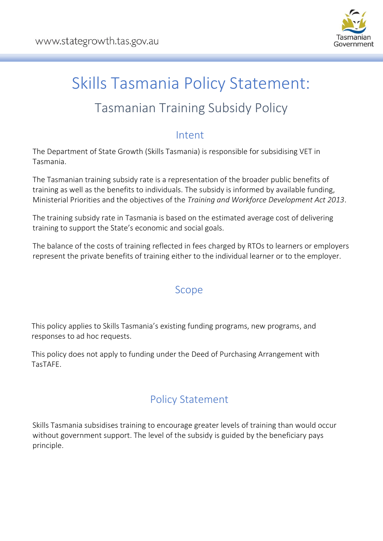

# Skills Tasmania Policy Statement:

## Tasmanian Training Subsidy Policy

## Intent

The Department of State Growth (Skills Tasmania) is responsible for subsidising VET in Tasmania.

The Tasmanian training subsidy rate is a representation of the broader public benefits of training as well as the benefits to individuals. The subsidy is informed by available funding, Ministerial Priorities and the objectives of the *Training and Workforce Development Act 2013*.

The training subsidy rate in Tasmania is based on the estimated average cost of delivering training to support the State's economic and social goals.

The balance of the costs of training reflected in fees charged by RTOs to learners or employers represent the private benefits of training either to the individual learner or to the employer.

## Scope

This policy applies to Skills Tasmania's existing funding programs, new programs, and responses to ad hoc requests.

This policy does not apply to funding under the Deed of Purchasing Arrangement with TasTAFE.

## Policy Statement

Skills Tasmania subsidises training to encourage greater levels of training than would occur without government support. The level of the subsidy is guided by the beneficiary pays principle.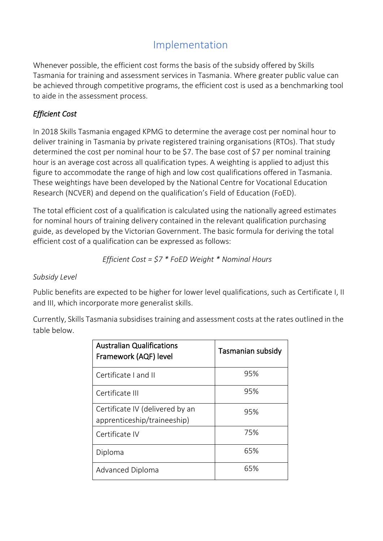## Implementation

Whenever possible, the efficient cost forms the basis of the subsidy offered by Skills Tasmania for training and assessment services in Tasmania. Where greater public value can be achieved through competitive programs, the efficient cost is used as a benchmarking tool to aide in the assessment process.

#### *Efficient Cost*

In 2018 Skills Tasmania engaged KPMG to determine the average cost per nominal hour to deliver training in Tasmania by private registered training organisations (RTOs). That study determined the cost per nominal hour to be \$7. The base cost of \$7 per nominal training hour is an average cost across all qualification types. A weighting is applied to adjust this figure to accommodate the range of high and low cost qualifications offered in Tasmania. These weightings have been developed by the National Centre for Vocational Education Research (NCVER) and depend on the qualification's Field of Education (FoED).

The total efficient cost of a qualification is calculated using the nationally agreed estimates for nominal hours of training delivery contained in the relevant qualification purchasing guide, as developed by the Victorian Government. The basic formula for deriving the total efficient cost of a qualification can be expressed as follows:

*Efficient Cost = \$7 \* FoED Weight \* Nominal Hours*

#### *Subsidy Level*

Public benefits are expected to be higher for lower level qualifications, such as Certificate I, II and III, which incorporate more generalist skills.

Currently, Skills Tasmania subsidises training and assessment costs at the rates outlined in the table below.

| <b>Australian Qualifications</b><br>Framework (AQF) level      | Tasmanian subsidy |
|----------------------------------------------------------------|-------------------|
| Certificate I and II                                           | 95%               |
| Certificate III                                                | 95%               |
| Certificate IV (delivered by an<br>apprenticeship/traineeship) | 95%               |
| Certificate IV                                                 | 75%               |
| Diploma                                                        | 65%               |
| <b>Advanced Diploma</b>                                        | 65%               |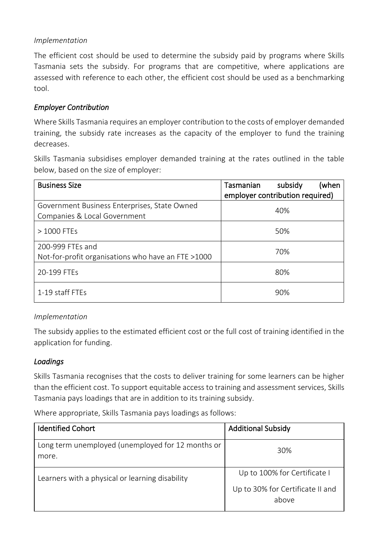#### *Implementation*

The efficient cost should be used to determine the subsidy paid by programs where Skills Tasmania sets the subsidy. For programs that are competitive, where applications are assessed with reference to each other, the efficient cost should be used as a benchmarking tool.

#### *Employer Contribution*

Where Skills Tasmania requires an employer contribution to the costs of employer demanded training, the subsidy rate increases as the capacity of the employer to fund the training decreases.

Skills Tasmania subsidises employer demanded training at the rates outlined in the table below, based on the size of employer:

| <b>Business Size</b>                                                         | subsidy<br>Tasmanian<br>(when<br>employer contribution required) |
|------------------------------------------------------------------------------|------------------------------------------------------------------|
| Government Business Enterprises, State Owned<br>Companies & Local Government | 40%                                                              |
| > 1000 FTEs                                                                  | 50%                                                              |
| 200-999 FTEs and<br>Not-for-profit organisations who have an FTE >1000       | 70%                                                              |
| 20-199 FTEs                                                                  | 80%                                                              |
| 1-19 staff FTEs                                                              | 90%                                                              |

#### *Implementation*

The subsidy applies to the estimated efficient cost or the full cost of training identified in the application for funding.

#### *Loadings*

Skills Tasmania recognises that the costs to deliver training for some learners can be higher than the efficient cost. To support equitable access to training and assessment services, Skills Tasmania pays loadings that are in addition to its training subsidy.

Where appropriate, Skills Tasmania pays loadings as follows:

| <b>Identified Cohort</b>                                   | <b>Additional Subsidy</b>                 |
|------------------------------------------------------------|-------------------------------------------|
| Long term unemployed (unemployed for 12 months or<br>more. | 30%                                       |
| Learners with a physical or learning disability            | Up to 100% for Certificate I              |
|                                                            | Up to 30% for Certificate II and<br>above |